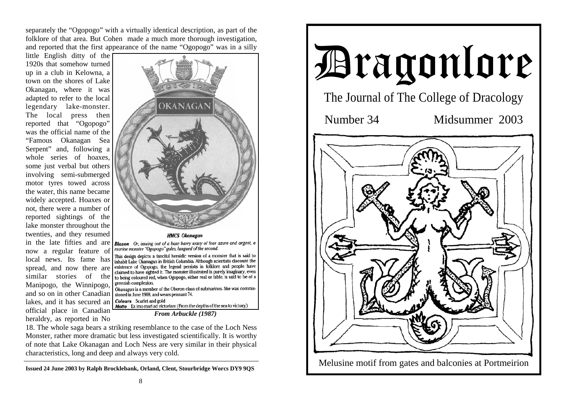separately the "Ogopogo" with a virtually identical description, as part of the folklore of that area. But Cohen made a much more thorough investigation, and reported that the first appearance of the name "Ogopogo" was in a silly

little English ditty of the 1920s that somehow turned up in a club in Kelowna, a town on the shores of Lake Okanagan, where it was adapted to refer to the local legendary lake-monster. The local press then reported that "Ogopogo" was the official name of the "Famous Okanagan Sea Serpent" and, following a whole series of hoaxes, some just verbal but others involving semi-submerged motor tyres towed across the water, this name became widely accepted. Hoaxes or not, there were a number of reported sightings of the lake monster throughout the twenties, and they resumed in the late fifties and are now a regular feature of spread, and now there are similar stories of the Manipogo, the Winnipogo, and so on in other Canadian lakes, and it has secured an official place in Canadian heraldry, as reported in No



claimed to have sighted it. The monster illustrated is purely imaginary, even greenish complexion.

Okanagan is a member of the Oberon class of submarines. She was commis-

**Colours** Scarlet and gold **Motto** Ex imo mari ad victoriam (From the depths of the sea to victory)

*From Arbuckle (1987)* 

18. The whole saga bears a striking resemblance to the case of the Loch Ness Monster, rather more dramatic but less investigated scientifically. It is worthy of note that Lake Okanagan and Loch Ness are very similar in their physical characteristics, long and deep and always very cold.

**Issued 24 June 2003 by Ralph Brocklebank, Orland, Clent, Stourbridge Worcs DY9 9QS**

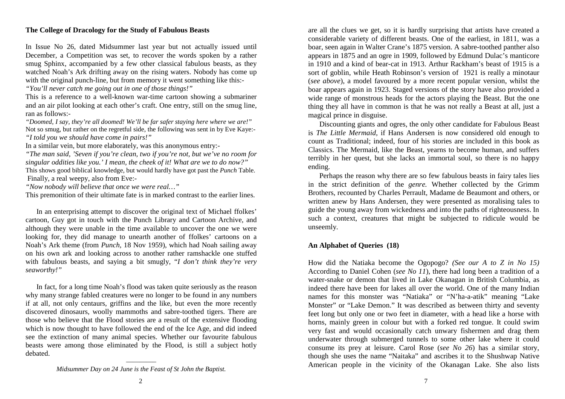# **The College of Dracology for the Study of Fabulous Beasts**

In Issue No 26, dated Midsummer last year but not actually issued until December, a Competition was set, to recover the words spoken by a rather smug Sphinx, accompanied by a few other classical fabulous beasts, as they watched Noah's Ark drifting away on the rising waters. Nobody has come up with the original punch-line, but from memory it went something like this:-

*"You'll never catch me going out in one of those things!"*

This is a reference to a well-known war-time cartoon showing a submariner and an air pilot looking at each other's craft. One entry, still on the smug line, ran as follows:-

*"Doomed, I say, they're all doomed! We'll be far safer staying here where we are!"*  Not so smug, but rather on the regretful side, the following was sent in by Eve Kaye:- *"I told you we should have come in pairs!"* 

In a similar vein, but more elaborately, was this anonymous entry:-

*"The man said, 'Seven if you're clean, two if you're not, but we've no room for singular oddities like you.' I mean, the cheek of it! What are we to do now?"* This shows good biblical knowledge, but would hardly have got past the *Punch* Table. Finally, a real weepy, also from Eve:-

*"Now nobody will believe that once we were real…"*

This premonition of their ultimate fate is in marked contrast to the earlier lines.

 In an enterprising attempt to discover the original text of Michael ffolkes' cartoon, Guy got in touch with the Punch Library and Cartoon Archive, and although they were unable in the time available to uncover the one we were looking for, they did manage to unearth another of ffolkes' cartoons on a Noah's Ark theme (from *Punch,* 18 Nov 1959), which had Noah sailing away on his own ark and looking across to another rather ramshackle one stuffed with fabulous beasts, and saying a bit smugly, "*I don't think they're very seaworthy!"*

 In fact, for a long time Noah's flood was taken quite seriously as the reason why many strange fabled creatures were no longer to be found in any numbers if at all, not only centaurs, griffins and the like, but even the more recently discovered dinosaurs, woolly mammoths and sabre-toothed tigers. There are those who believe that the Flood stories are a result of the extensive flooding which is now thought to have followed the end of the Ice Age, and did indeed see the extinction of many animal species. Whether our favourite fabulous beasts were among those eliminated by the Flood, is still a subject hotly debated.

> ————– *Midsummer Day on 24 June is the Feast of St John the Baptist.*

are all the clues we get, so it is hardly surprising that artists have created a considerable variety of different beasts. One of the earliest, in 1811, was a boar, seen again in Walter Crane's 1875 version. A sabre-toothed panther also appears in 1875 and an ogre in 1909, followed by Edmund Dulac's manticore in 1910 and a kind of bear-cat in 1913. Arthur Rackham's beast of 1915 is a sort of goblin, while Heath Robinson's version of 1921 is really a minotaur (*see above*), a model favoured by a more recent popular version, whilst the boar appears again in 1923. Staged versions of the story have also provided a wide range of monstrous heads for the actors playing the Beast. But the one thing they all have in common is that he was not really a Beast at all, just a magical prince in disguise.

 Discounting giants and ogres, the only other candidate for Fabulous Beast is *The Little Mermaid,* if Hans Andersen is now considered old enough to count as Traditional; indeed, four of his stories are included in this book as Classics. The Mermaid, like the Beast, yearns to become human, and suffers terribly in her quest, but she lacks an immortal soul, so there is no happy ending.

 Perhaps the reason why there are so few fabulous beasts in fairy tales lies in the strict definition of the *genre.* Whether collected by the Grimm Brothers, recounted by Charles Perrault, Madame de Beaumont and others, or written anew by Hans Andersen, they were presented as moralising tales to guide the young away from wickedness and into the paths of righteousness. In such a context, creatures that might be subjected to ridicule would be unseemly.

# **An Alphabet of Queries (18)**

How did the Natiaka become the Ogopogo? *(See our A to Z in No 15)* According to Daniel Cohen (*see No 11*), there had long been a tradition of a water-snake or demon that lived in Lake Okanagan in British Columbia, as indeed there have been for lakes all over the world. One of the many Indian names for this monster was "Natiaka" or "N'ha-a-atik" meaning "Lake Monster" or "Lake Demon." It was described as between thirty and seventy feet long but only one or two feet in diameter, with a head like a horse with horns, mainly green in colour but with a forked red tongue. It could swim very fast and would occasionally catch unwary fishermen and drag them underwater through submerged tunnels to some other lake where it could consume its prey at leisure. Carol Rose (*see No 26*) has a similar story, though she uses the name "Naitaka" and ascribes it to the Shushwap Native American people in the vicinity of the Okanagan Lake. She also lists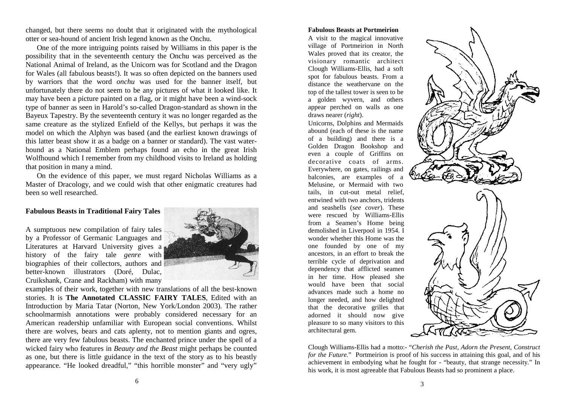changed, but there seems no doubt that it originated with the mythological otter or sea-hound of ancient Irish legend known as the Onchu.

 One of the more intriguing points raised by Williams in this paper is the possibility that in the seventeenth century the Onchu was perceived as the National Animal of Ireland, as the Unicorn was for Scotland and the Dragon for Wales (all fabulous beasts!). It was so often depicted on the banners used by warriors that the word *onchu* was used for the banner itself, but unfortunately there do not seem to be any pictures of what it looked like. It may have been a picture painted on a flag, or it might have been a wind-sock type of banner as seen in Harold's so-called Dragon-standard as shown in the Bayeux Tapestry. By the seventeenth century it was no longer regarded as the same creature as the stylized Enfield of the Kellys, but perhaps it was the model on which the Alphyn was based (and the earliest known drawings of this latter beast show it as a badge on a banner or standard). The vast waterhound as a National Emblem perhaps found an echo in the great Irish Wolfhound which I remember from my childhood visits to Ireland as holding that position in many a mind.

 On the evidence of this paper, we must regard Nicholas Williams as a Master of Dracology, and we could wish that other enigmatic creatures had been so well researched.

### **Fabulous Beasts in Traditional Fairy Tales**

A sumptuous new compilation of fairy tales by a Professor of Germanic Languages and Literatures at Harvard University gives a history of the fairy tale *genre* with biographies of their collectors, authors and better-known illustrators (Doré, Dulac, Cruikshank, Crane and Rackham) with many



examples of their work, together with new translations of all the best-known stories. It is **The Annotated CLASSIC FAIRY TALES**, Edited with an Introduction by Maria Tatar (Norton, New York/London 2003). The rather schoolmarmish annotations were probably considered necessary for an American readership unfamiliar with European social conventions. Whilst there are wolves, bears and cats aplenty, not to mention giants and ogres, there are very few fabulous beasts. The enchanted prince under the spell of a wicked fairy who features in *Beauty and the Beast* might perhaps be counted as one, but there is little guidance in the text of the story as to his beastly appearance. "He looked dreadful," "this horrible monster" and "very ugly"

#### **Fabulous Beasts at Portmeirion**

A visit to the magical innovative village of Portmeirion in North Wales proved that its creator, the visionary romantic architect Clough Williams-Ellis, had a soft spot for fabulous beasts. From a distance the weathervane on the top of the tallest tower is seen to be a golden wyvern, and others appear perched on walls as one draws nearer (*right*).

Unicorns, Dolphins and Mermaids abound (each of these is the name of a building) and there is a Golden Dragon Bookshop and even a couple of Griffins on decorative coats of arms. Everywhere, on gates, railings and balconies, are examples of a Melusine, or Mermaid with two tails, in cut-out metal relief, entwined with two anchors, tridents and seashells (*see cover*). These were rescued by Williams-Ellis from a Seamen's Home being demolished in Liverpool in 1954. I wonder whether this Home was the one founded by one of my ancestors, in an effort to break the terrible cycle of deprivation and dependency that afflicted seamen in her time. How pleased she would have been that social advances made such a home no longer needed, and how delighted that the decorative grilles that adorned it should now give pleasure to so many visitors to this architectural gem.



Clough Williams-Ellis had a motto:- "*Cherish the Past, Adorn the Present, Construct for the Future.*" Portmeirion is proof of his success in attaining this goal, and of his achievement in embodying what he fought for - "beauty, that strange necessity." In his work, it is most agreeable that Fabulous Beasts had so prominent a place.